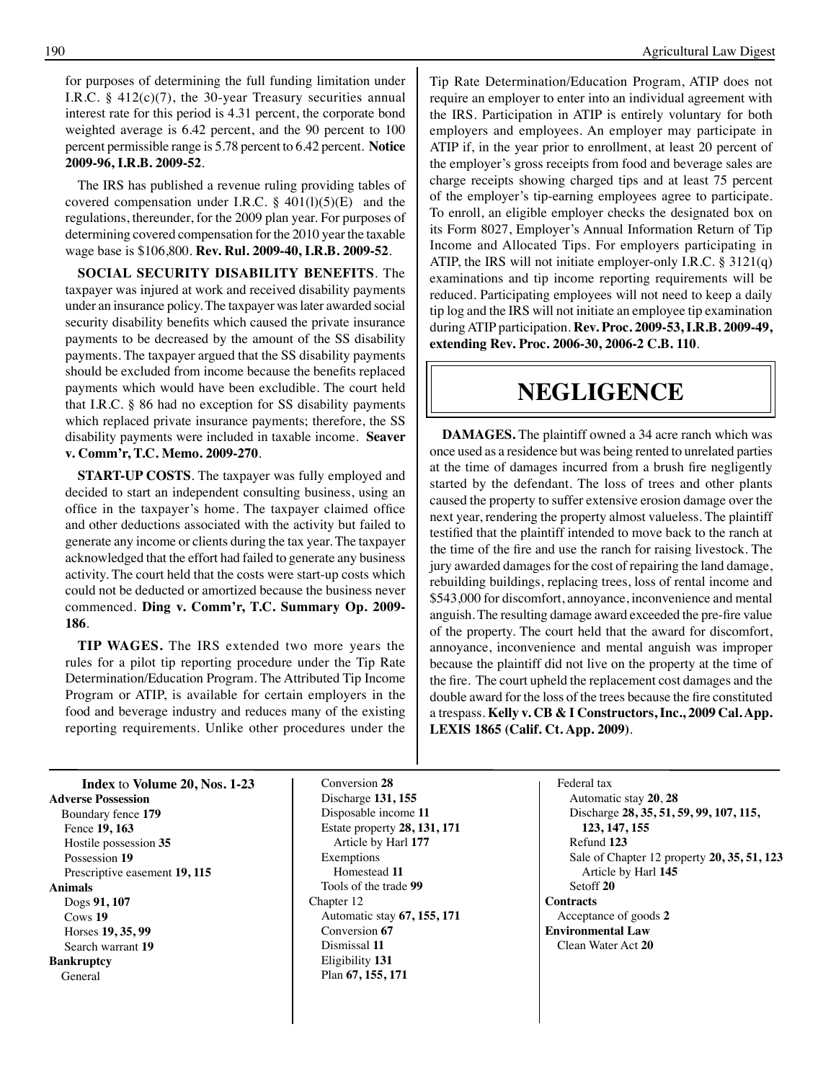for purposes of determining the full funding limitation under I.R.C. § 412(c)(7), the 30-year Treasury securities annual interest rate for this period is 4.31 percent, the corporate bond weighted average is 6.42 percent, and the 90 percent to 100 percent permissible range is 5.78 percent to 6.42 percent. **Notice 2009-96, I.R.B. 2009-52**.

The IRS has published a revenue ruling providing tables of covered compensation under I.R.C.  $\S$  401(l)(5)(E) and the regulations, thereunder, for the 2009 plan year. For purposes of determining covered compensation for the 2010 year the taxable wage base is \$106,800. **Rev. Rul. 2009-40, I.R.B. 2009-52**.

**SOCIAL SECURITY DISABILITY BENEFITS**. The taxpayer was injured at work and received disability payments under an insurance policy. The taxpayer was later awarded social security disability benefits which caused the private insurance payments to be decreased by the amount of the SS disability payments. The taxpayer argued that the SS disability payments should be excluded from income because the benefits replaced payments which would have been excludible. The court held that I.R.C. § 86 had no exception for SS disability payments which replaced private insurance payments; therefore, the SS disability payments were included in taxable income. **Seaver v. Comm'r, T.C. Memo. 2009-270**.

**START-UP COSTS**. The taxpayer was fully employed and decided to start an independent consulting business, using an office in the taxpayer's home. The taxpayer claimed office and other deductions associated with the activity but failed to generate any income or clients during the tax year. The taxpayer acknowledged that the effort had failed to generate any business activity. The court held that the costs were start-up costs which could not be deducted or amortized because the business never commenced. **Ding v. Comm'r, T.C. Summary Op. 2009- 186**.

**TIP WAGES.** The IRS extended two more years the rules for a pilot tip reporting procedure under the Tip Rate Determination/Education Program. The Attributed Tip Income Program or ATIP, is available for certain employers in the food and beverage industry and reduces many of the existing reporting requirements. Unlike other procedures under the Tip Rate Determination/Education Program, ATIP does not require an employer to enter into an individual agreement with the IRS. Participation in ATIP is entirely voluntary for both employers and employees. An employer may participate in ATIP if, in the year prior to enrollment, at least 20 percent of the employer's gross receipts from food and beverage sales are charge receipts showing charged tips and at least 75 percent of the employer's tip-earning employees agree to participate. To enroll, an eligible employer checks the designated box on its Form 8027, Employer's Annual Information Return of Tip Income and Allocated Tips. For employers participating in ATIP, the IRS will not initiate employer-only I.R.C. § 3121(q) examinations and tip income reporting requirements will be reduced. Participating employees will not need to keep a daily tip log and the IRS will not initiate an employee tip examination during ATIP participation. **Rev. Proc. 2009-53, I.R.B. 2009-49, extending Rev. Proc. 2006-30, 2006-2 C.B. 110**.

## **negligence**

**DAMAGES.** The plaintiff owned a 34 acre ranch which was once used as a residence but was being rented to unrelated parties at the time of damages incurred from a brush fire negligently started by the defendant. The loss of trees and other plants caused the property to suffer extensive erosion damage over the next year, rendering the property almost valueless. The plaintiff testified that the plaintiff intended to move back to the ranch at the time of the fire and use the ranch for raising livestock. The jury awarded damages for the cost of repairing the land damage, rebuilding buildings, replacing trees, loss of rental income and \$543,000 for discomfort, annoyance, inconvenience and mental anguish. The resulting damage award exceeded the pre-fire value of the property. The court held that the award for discomfort, annoyance, inconvenience and mental anguish was improper because the plaintiff did not live on the property at the time of the fire. The court upheld the replacement cost damages and the double award for the loss of the trees because the fire constituted a trespass. **Kelly v. CB & I Constructors, Inc., 2009 Cal. App. LEXIS 1865 (Calif. Ct. App. 2009)**.

**Index** to **Volume 20, Nos. 1-23 Adverse Possession** Boundary fence **179** Fence **19, 163** Hostile possession **35** Possession **19** Prescriptive easement **19, 115 Animals** Dogs **91, 107** Cows **19** Horses **19, 35, 99** Search warrant **19 Bankruptcy** General

 Conversion **28** Discharge **131, 155** Disposable income **11** Estate property **28, 131, 171** Article by Harl **177** Exemptions Homestead **11** Tools of the trade **99** Chapter 12 Automatic stay **67, 155, 171** Conversion **67** Dismissal **11** Eligibility **131** Plan **67, 155, 171**

Federal tax Automatic stay **20**, **28** Discharge **28, 35, 51, 59, 99, 107, 115, 123, 147, 155** Refund **123** Sale of Chapter 12 property **20, 35, 51, 123** Article by Harl **145** Setoff **20 Contracts** Acceptance of goods **2 Environmental Law** Clean Water Act **20**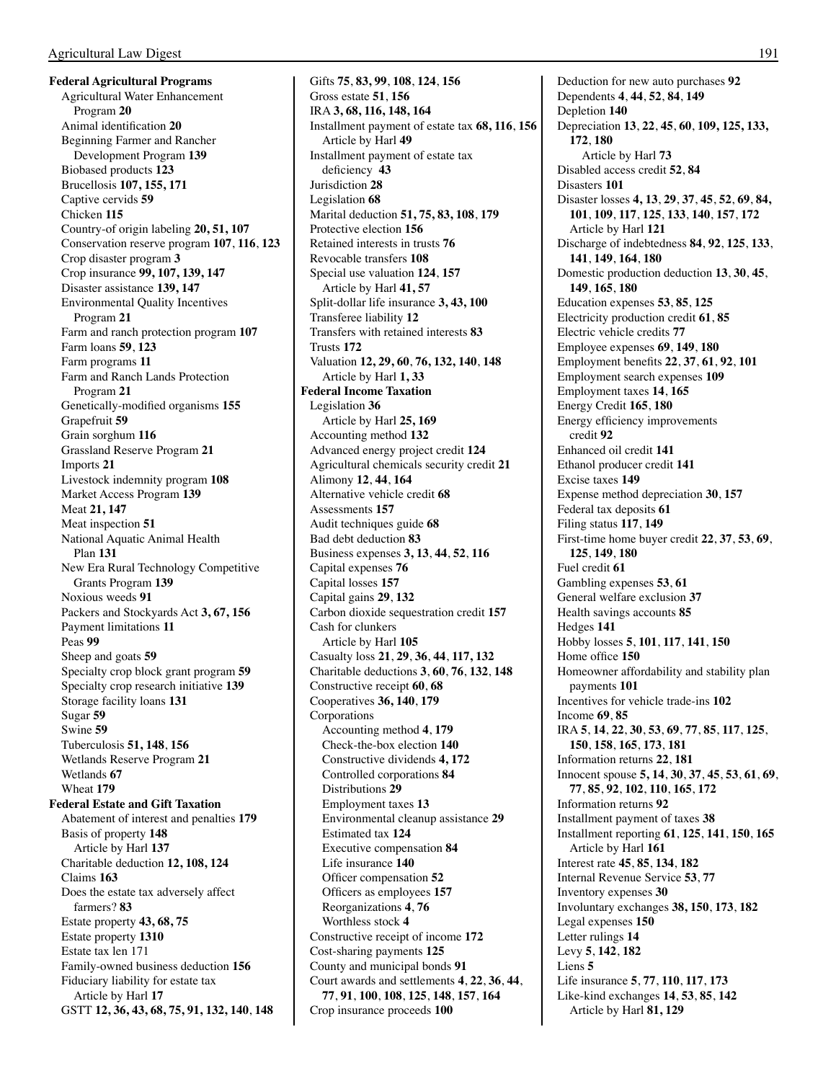**Federal Agricultural Programs** Agricultural Water Enhancement Program **20** Animal identification **20** Beginning Farmer and Rancher Development Program **139** Biobased products **123** Brucellosis **107, 155, 171** Captive cervids **59** Chicken **115** Country-of origin labeling **20, 51, 107** Conservation reserve program **107**, **116**, **123** Crop disaster program **3** Crop insurance **99, 107, 139, 147** Disaster assistance **139, 147** Environmental Quality Incentives Program **21** Farm and ranch protection program **107** Farm loans **59**, **123** Farm programs **11** Farm and Ranch Lands Protection Program **21** Genetically-modified organisms **155** Grapefruit **59** Grain sorghum **116** Grassland Reserve Program **21** Imports **21** Livestock indemnity program **108** Market Access Program **139** Meat **21, 147** Meat inspection **51** National Aquatic Animal Health Plan **131** New Era Rural Technology Competitive Grants Program **139** Noxious weeds **91** Packers and Stockyards Act **3, 67, 156** Payment limitations **11**  Peas **99** Sheep and goats **59** Specialty crop block grant program **59** Specialty crop research initiative **139** Storage facility loans **131** Sugar **59** Swine **59** Tuberculosis **51, 148**, **156** Wetlands Reserve Program **21** Wetlands **67**  Wheat **179 Federal Estate and Gift Taxation** Abatement of interest and penalties **179** Basis of property **148** Article by Harl **137** Charitable deduction **12, 108, 124** Claims **163** Does the estate tax adversely affect farmers? **83** Estate property **43, 68, 75** Estate property **1310** Estate tax len 171 Family-owned business deduction **156** Fiduciary liability for estate tax Article by Harl **17** GSTT **12, 36, 43, 68, 75, 91, 132, 140**, **148**

Gifts **75**, **83, 99**, **108**, **124**, **156** Gross estate **51**, **156** IRA **3, 68, 116, 148, 164** Installment payment of estate tax **68, 116**, **156** Article by Harl **49** Installment payment of estate tax deficiency **43** Jurisdiction **28** Legislation **68** Marital deduction **51, 75, 83, 108**, **179** Protective election **156** Retained interests in trusts **76** Revocable transfers **108** Special use valuation **124**, **157** Article by Harl **41, 57** Split-dollar life insurance **3, 43, 100** Transferee liability **12** Transfers with retained interests **83** Trusts **172** Valuation **12, 29, 60**, **76, 132, 140**, **148** Article by Harl **1, 33 Federal Income Taxation** Legislation **36** Article by Harl **25, 169** Accounting method **132** Advanced energy project credit **124** Agricultural chemicals security credit **21** Alimony **12**, **44**, **164** Alternative vehicle credit **68** Assessments **157** Audit techniques guide **68** Bad debt deduction **83** Business expenses **3, 13**, **44**, **52**, **116** Capital expenses **76** Capital losses **157** Capital gains **29**, **132** Carbon dioxide sequestration credit **157** Cash for clunkers Article by Harl **105** Casualty loss **21**, **29**, **36**, **44**, **117, 132** Charitable deductions **3**, **60**, **76**, **132**, **148** Constructive receipt **60**, **68** Cooperatives **36, 140**, **179** Corporations Accounting method **4**, **179** Check-the-box election **140** Constructive dividends **4, 172** Controlled corporations **84** Distributions **29** Employment taxes **13** Environmental cleanup assistance **29** Estimated tax **124** Executive compensation **84** Life insurance **140** Officer compensation **52** Officers as employees **157** Reorganizations **4**, **76** Worthless stock **4** Constructive receipt of income **172** Cost-sharing payments **125** County and municipal bonds **91** Court awards and settlements **4**, **22**, **36**, **44**, **77**, **91**, **100**, **108**, **125**, **148**, **157**, **164** Crop insurance proceeds **100**

Deduction for new auto purchases **92** Dependents **4**, **44**, **52**, **84**, **149** Depletion **140** Depreciation **13**, **22**, **45**, **60**, **109, 125, 133, 172**, **180** Article by Harl **73** Disabled access credit **52**, **84** Disasters **101** Disaster losses **4, 13**, **29**, **37**, **45**, **52**, **69**, **84, 101**, **109**, **117**, **125**, **133**, **140**, **157**, **172** Article by Harl **121** Discharge of indebtedness **84**, **92**, **125**, **133**, **141**, **149**, **164**, **180** Domestic production deduction **13**, **30**, **45**, **149**, **165**, **180** Education expenses **53**, **85**, **125** Electricity production credit **61**, **85** Electric vehicle credits **77** Employee expenses **69**, **149**, **180** Employment benefits **22**, **37**, **61**, **92**, **101** Employment search expenses **109** Employment taxes **14**, **165** Energy Credit **165**, **180** Energy efficiency improvements credit **92** Enhanced oil credit **141** Ethanol producer credit **141** Excise taxes **149** Expense method depreciation **30**, **157** Federal tax deposits **61** Filing status **117**, **149** First-time home buyer credit **22**, **37**, **53**, **69**, **125**, **149**, **180** Fuel credit **61** Gambling expenses **53**, **61** General welfare exclusion **37** Health savings accounts **85** Hedges **141** Hobby losses **5**, **101**, **117**, **141**, **150** Home office **150** Homeowner affordability and stability plan payments **101** Incentives for vehicle trade-ins **102** Income **69**, **85** IRA **5**, **14**, **22**, **30**, **53**, **69**, **77**, **85**, **117**, **125**, **150**, **158**, **165**, **173**, **181** Information returns **22**, **181** Innocent spouse **5, 14**, **30**, **37**, **45**, **53**, **61**, **69**, **77**, **85**, **92**, **102**, **110**, **165**, **172** Information returns **92** Installment payment of taxes **38** Installment reporting **61**, **125**, **141**, **150**, **165** Article by Harl **161** Interest rate **45**, **85**, **134**, **182** Internal Revenue Service **53**, **77** Inventory expenses **30** Involuntary exchanges **38, 150**, **173**, **182** Legal expenses **150** Letter rulings **14** Levy **5**, **142**, **182** Liens **5** Life insurance **5**, **77**, **110**, **117**, **173** Like-kind exchanges **14**, **53**, **85**, **142** Article by Harl **81, 129**